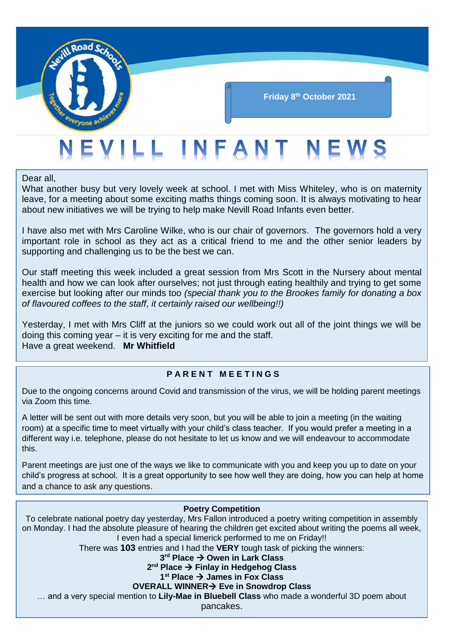

Dear all,

What another busy but very lovely week at school. I met with Miss Whiteley, who is on maternity leave, for a meeting about some exciting maths things coming soon. It is always motivating to hear about new initiatives we will be trying to help make Nevill Road Infants even better.

I have also met with Mrs Caroline Wilke, who is our chair of governors. The governors hold a very important role in school as they act as a critical friend to me and the other senior leaders by supporting and challenging us to be the best we can.

Our staff meeting this week included a great session from Mrs Scott in the Nursery about mental health and how we can look after ourselves; not just through eating healthily and trying to get some exercise but looking after our minds too *(special thank you to the Brookes family for donating a box of flavoured coffees to the staff, it certainly raised our wellbeing!!)*

Yesterday, I met with Mrs Cliff at the juniors so we could work out all of the joint things we will be doing this coming year – it is very exciting for me and the staff. Have a great weekend. **Mr Whitfield**

#### **P A R E N T M E E T I N G S**

Due to the ongoing concerns around Covid and transmission of the virus, we will be holding parent meetings via Zoom this time.

A letter will be sent out with more details very soon, but you will be able to join a meeting (in the waiting room) at a specific time to meet virtually with your child's class teacher. If you would prefer a meeting in a different way i.e. telephone, please do not hesitate to let us know and we will endeavour to accommodate this.

Parent meetings are just one of the ways we like to communicate with you and keep you up to date on your child's progress at school. It is a great opportunity to see how well they are doing, how you can help at home and a chance to ask any questions.

#### **Poetry Competition**

To celebrate national poetry day yesterday, Mrs Fallon introduced a poetry writing competition in assembly on Monday. I had the absolute pleasure of hearing the children get excited about writing the poems all week, I even had a special limerick performed to me on Friday!!

There was **103** entries and I had the **VERY** tough task of picking the winners:

**3 rd Place Owen in Lark Class**

## **2 nd Place Finlay in Hedgehog Class**

# **1 st Place James in Fox Class**

# **OVERALL WINNER Eve in Snowdrop Class**

… and a very special mention to **Lily-Mae in Bluebell Class** who made a wonderful 3D poem about

pancakes.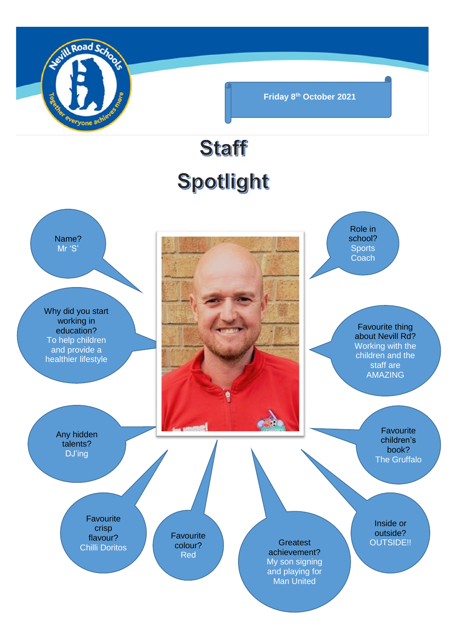

**Friday 8th October 2021**

# **Staff** Spotlight

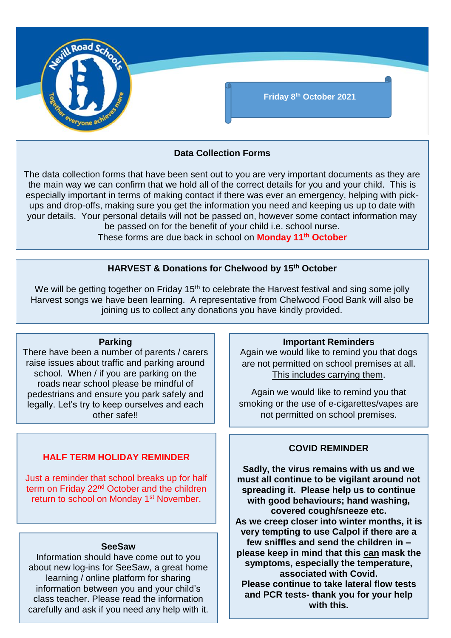

## **Data Collection Forms**

The data collection forms that have been sent out to you are very important documents as they are the main way we can confirm that we hold all of the correct details for you and your child. This is especially important in terms of making contact if there was ever an emergency, helping with pickups and drop-offs, making sure you get the information you need and keeping us up to date with your details. Your personal details will not be passed on, however some contact information may be passed on for the benefit of your child i.e. school nurse.

These forms are due back in school on **Monday 11th October**

# **HARVEST & Donations for Chelwood by 15th October**

We will be getting together on Friday 15<sup>th</sup> to celebrate the Harvest festival and sing some jolly Harvest songs we have been learning. A representative from Chelwood Food Bank will also be joining us to collect any donations you have kindly provided.

#### **Parking**

There have been a number of parents / carers raise issues about traffic and parking around school. When / if you are parking on the roads near school please be mindful of pedestrians and ensure you park safely and legally. Let's try to keep ourselves and each other safe!!

# **HALF TERM HOLIDAY REMINDER**

Just a reminder that school breaks up for half term on Friday 22<sup>nd</sup> October and the children return to school on Monday 1<sup>st</sup> November.

#### **SeeSaw**

Information should have come out to you about new log-ins for SeeSaw, a great home learning / online platform for sharing information between you and your child's class teacher. Please read the information carefully and ask if you need any help with it.

#### **Important Reminders**

Again we would like to remind you that dogs are not permitted on school premises at all. This includes carrying them.

Again we would like to remind you that smoking or the use of e-cigarettes/vapes are not permitted on school premises.

#### **COVID REMINDER**

**Sadly, the virus remains with us and we must all continue to be vigilant around not spreading it. Please help us to continue with good behaviours; hand washing, covered cough/sneeze etc. As we creep closer into winter months, it is very tempting to use Calpol if there are a few sniffles and send the children in – please keep in mind that this can mask the symptoms, especially the temperature, associated with Covid. Please continue to take lateral flow tests and PCR tests- thank you for your help with this.**